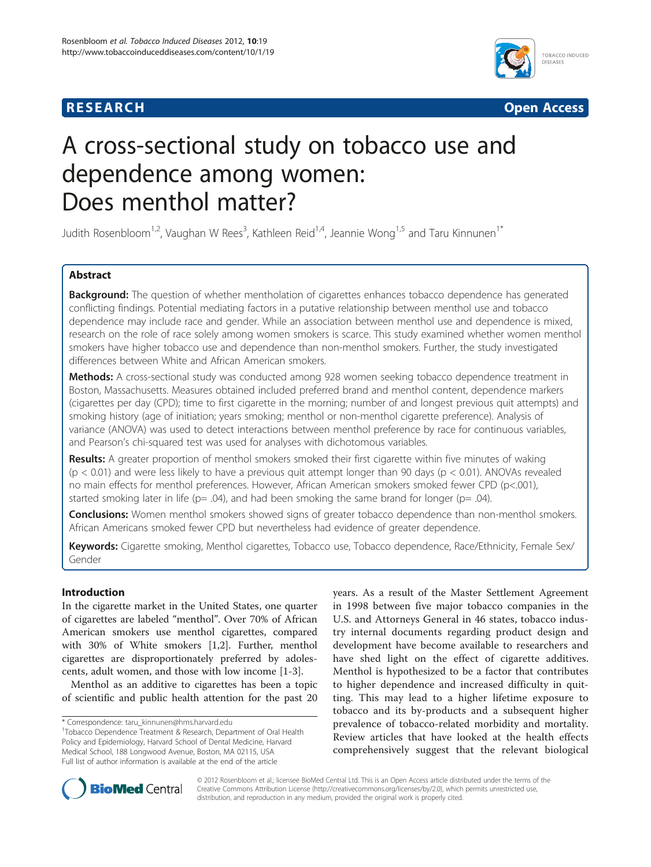## **RESEARCH CHE CHE Open Access**



# A cross-sectional study on tobacco use and dependence among women: Does menthol matter?

Judith Rosenbloom<sup>1,2</sup>, Vaughan W Rees<sup>3</sup>, Kathleen Reid<sup>1,4</sup>, Jeannie Wong<sup>1,5</sup> and Taru Kinnunen<sup>1\*</sup>

## Abstract

Background: The question of whether mentholation of cigarettes enhances tobacco dependence has generated conflicting findings. Potential mediating factors in a putative relationship between menthol use and tobacco dependence may include race and gender. While an association between menthol use and dependence is mixed, research on the role of race solely among women smokers is scarce. This study examined whether women menthol smokers have higher tobacco use and dependence than non-menthol smokers. Further, the study investigated differences between White and African American smokers.

Methods: A cross-sectional study was conducted among 928 women seeking tobacco dependence treatment in Boston, Massachusetts. Measures obtained included preferred brand and menthol content, dependence markers (cigarettes per day (CPD); time to first cigarette in the morning; number of and longest previous quit attempts) and smoking history (age of initiation; years smoking; menthol or non-menthol cigarette preference). Analysis of variance (ANOVA) was used to detect interactions between menthol preference by race for continuous variables, and Pearson's chi-squared test was used for analyses with dichotomous variables.

Results: A greater proportion of menthol smokers smoked their first cigarette within five minutes of waking  $(p < 0.01)$  and were less likely to have a previous quit attempt longer than 90 days  $(p < 0.01)$ . ANOVAs revealed no main effects for menthol preferences. However, African American smokers smoked fewer CPD (p<.001), started smoking later in life ( $p = .04$ ), and had been smoking the same brand for longer ( $p = .04$ ).

**Conclusions:** Women menthol smokers showed signs of greater tobacco dependence than non-menthol smokers. African Americans smoked fewer CPD but nevertheless had evidence of greater dependence.

Keywords: Cigarette smoking, Menthol cigarettes, Tobacco use, Tobacco dependence, Race/Ethnicity, Female Sex/ Gender

## Introduction

In the cigarette market in the United States, one quarter of cigarettes are labeled "menthol". Over 70% of African American smokers use menthol cigarettes, compared with 30% of White smokers [\[1,2](#page-4-0)]. Further, menthol cigarettes are disproportionately preferred by adolescents, adult women, and those with low income [\[1-3](#page-4-0)].

Menthol as an additive to cigarettes has been a topic of scientific and public health attention for the past 20

years. As a result of the Master Settlement Agreement in 1998 between five major tobacco companies in the U.S. and Attorneys General in 46 states, tobacco industry internal documents regarding product design and development have become available to researchers and have shed light on the effect of cigarette additives. Menthol is hypothesized to be a factor that contributes to higher dependence and increased difficulty in quitting. This may lead to a higher lifetime exposure to tobacco and its by-products and a subsequent higher prevalence of tobacco-related morbidity and mortality. Review articles that have looked at the health effects comprehensively suggest that the relevant biological



© 2012 Rosenbloom et al.; licensee BioMed Central Ltd. This is an Open Access article distributed under the terms of the Creative Commons Attribution License (<http://creativecommons.org/licenses/by/2.0>), which permits unrestricted use, distribution, and reproduction in any medium, provided the original work is properly cited.

<sup>\*</sup> Correspondence: [taru\\_kinnunen@hms.harvard.edu](mailto:taru_kinnunen@hms.harvard.edu) <sup>1</sup>

Tobacco Dependence Treatment & Research, Department of Oral Health Policy and Epidemiology, Harvard School of Dental Medicine, Harvard Medical School, 188 Longwood Avenue, Boston, MA 02115, USA Full list of author information is available at the end of the article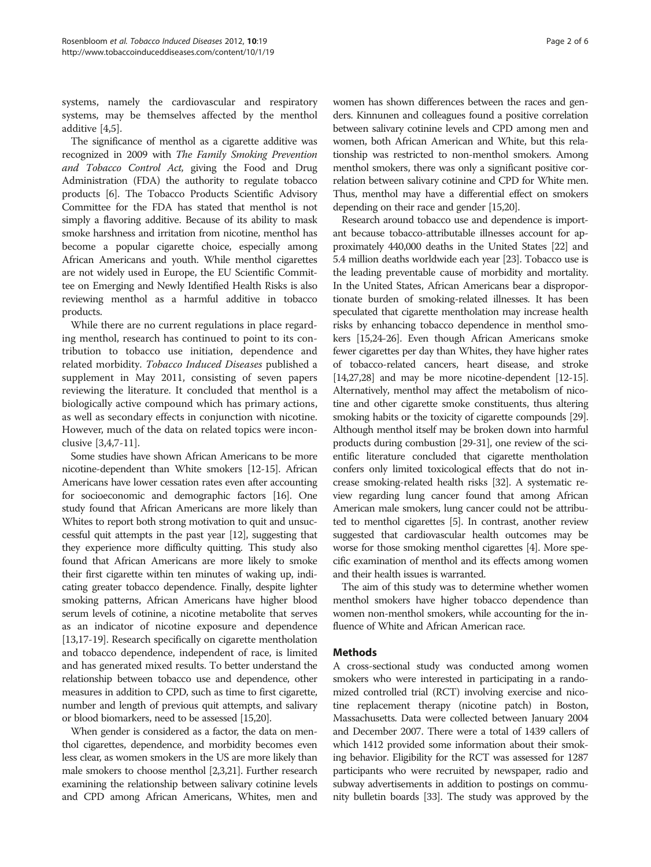systems, namely the cardiovascular and respiratory systems, may be themselves affected by the menthol additive [[4](#page-4-0),[5](#page-4-0)].

The significance of menthol as a cigarette additive was recognized in 2009 with The Family Smoking Prevention and Tobacco Control Act, giving the Food and Drug Administration (FDA) the authority to regulate tobacco products [[6](#page-4-0)]. The Tobacco Products Scientific Advisory Committee for the FDA has stated that menthol is not simply a flavoring additive. Because of its ability to mask smoke harshness and irritation from nicotine, menthol has become a popular cigarette choice, especially among African Americans and youth. While menthol cigarettes are not widely used in Europe, the EU Scientific Committee on Emerging and Newly Identified Health Risks is also reviewing menthol as a harmful additive in tobacco products.

While there are no current regulations in place regarding menthol, research has continued to point to its contribution to tobacco use initiation, dependence and related morbidity. Tobacco Induced Diseases published a supplement in May 2011, consisting of seven papers reviewing the literature. It concluded that menthol is a biologically active compound which has primary actions, as well as secondary effects in conjunction with nicotine. However, much of the data on related topics were inconclusive [\[3,4,7](#page-4-0)-[11\]](#page-4-0).

Some studies have shown African Americans to be more nicotine-dependent than White smokers [\[12-15\]](#page-4-0). African Americans have lower cessation rates even after accounting for socioeconomic and demographic factors [[16](#page-4-0)]. One study found that African Americans are more likely than Whites to report both strong motivation to quit and unsuccessful quit attempts in the past year [[12](#page-4-0)], suggesting that they experience more difficulty quitting. This study also found that African Americans are more likely to smoke their first cigarette within ten minutes of waking up, indicating greater tobacco dependence. Finally, despite lighter smoking patterns, African Americans have higher blood serum levels of cotinine, a nicotine metabolite that serves as an indicator of nicotine exposure and dependence [[13,17](#page-4-0)-[19](#page-4-0)]. Research specifically on cigarette mentholation and tobacco dependence, independent of race, is limited and has generated mixed results. To better understand the relationship between tobacco use and dependence, other measures in addition to CPD, such as time to first cigarette, number and length of previous quit attempts, and salivary or blood biomarkers, need to be assessed [[15,20](#page-4-0)].

When gender is considered as a factor, the data on menthol cigarettes, dependence, and morbidity becomes even less clear, as women smokers in the US are more likely than male smokers to choose menthol [\[2,3,21](#page-4-0)]. Further research examining the relationship between salivary cotinine levels and CPD among African Americans, Whites, men and

women has shown differences between the races and genders. Kinnunen and colleagues found a positive correlation between salivary cotinine levels and CPD among men and women, both African American and White, but this relationship was restricted to non-menthol smokers. Among menthol smokers, there was only a significant positive correlation between salivary cotinine and CPD for White men. Thus, menthol may have a differential effect on smokers depending on their race and gender [\[15,20\]](#page-4-0).

Research around tobacco use and dependence is important because tobacco-attributable illnesses account for approximately 440,000 deaths in the United States [\[22\]](#page-4-0) and 5.4 million deaths worldwide each year [\[23](#page-4-0)]. Tobacco use is the leading preventable cause of morbidity and mortality. In the United States, African Americans bear a disproportionate burden of smoking-related illnesses. It has been speculated that cigarette mentholation may increase health risks by enhancing tobacco dependence in menthol smokers [\[15,24-26\]](#page-4-0). Even though African Americans smoke fewer cigarettes per day than Whites, they have higher rates of tobacco-related cancers, heart disease, and stroke [[14,27,28\]](#page-4-0) and may be more nicotine-dependent [\[12-15](#page-4-0)]. Alternatively, menthol may affect the metabolism of nicotine and other cigarette smoke constituents, thus altering smoking habits or the toxicity of cigarette compounds [\[29](#page-5-0)]. Although menthol itself may be broken down into harmful products during combustion [\[29-31](#page-5-0)], one review of the scientific literature concluded that cigarette mentholation confers only limited toxicological effects that do not increase smoking-related health risks [\[32\]](#page-5-0). A systematic review regarding lung cancer found that among African American male smokers, lung cancer could not be attributed to menthol cigarettes [\[5\]](#page-4-0). In contrast, another review suggested that cardiovascular health outcomes may be worse for those smoking menthol cigarettes [[4](#page-4-0)]. More specific examination of menthol and its effects among women and their health issues is warranted.

The aim of this study was to determine whether women menthol smokers have higher tobacco dependence than women non-menthol smokers, while accounting for the influence of White and African American race.

## Methods

A cross-sectional study was conducted among women smokers who were interested in participating in a randomized controlled trial (RCT) involving exercise and nicotine replacement therapy (nicotine patch) in Boston, Massachusetts. Data were collected between January 2004 and December 2007. There were a total of 1439 callers of which 1412 provided some information about their smoking behavior. Eligibility for the RCT was assessed for 1287 participants who were recruited by newspaper, radio and subway advertisements in addition to postings on community bulletin boards [[33\]](#page-5-0). The study was approved by the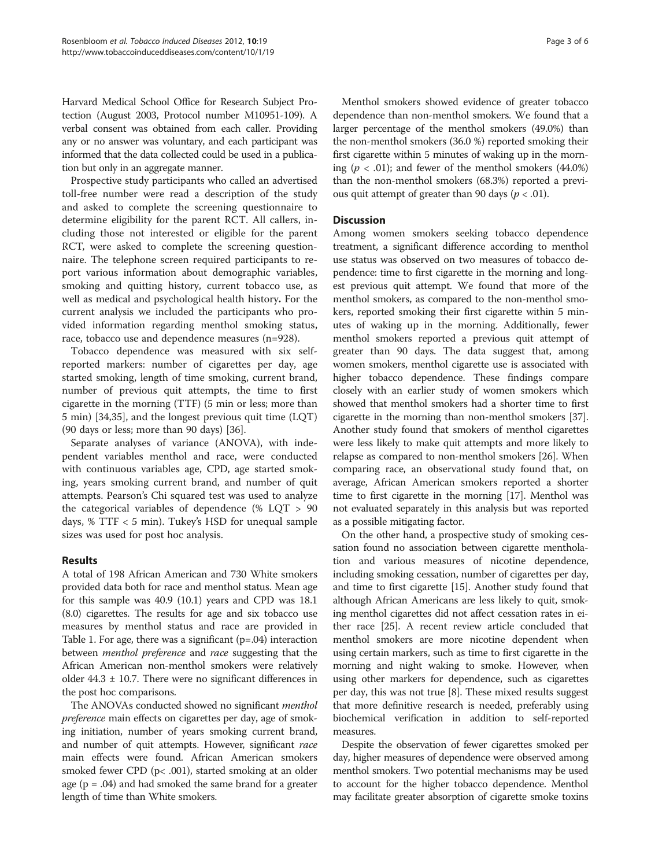Harvard Medical School Office for Research Subject Protection (August 2003, Protocol number M10951-109). A verbal consent was obtained from each caller. Providing any or no answer was voluntary, and each participant was informed that the data collected could be used in a publication but only in an aggregate manner.

Prospective study participants who called an advertised toll-free number were read a description of the study and asked to complete the screening questionnaire to determine eligibility for the parent RCT. All callers, including those not interested or eligible for the parent RCT, were asked to complete the screening questionnaire. The telephone screen required participants to report various information about demographic variables, smoking and quitting history, current tobacco use, as well as medical and psychological health history. For the current analysis we included the participants who provided information regarding menthol smoking status, race, tobacco use and dependence measures (n=928).

Tobacco dependence was measured with six selfreported markers: number of cigarettes per day, age started smoking, length of time smoking, current brand, number of previous quit attempts, the time to first cigarette in the morning (TTF) (5 min or less; more than 5 min) [\[34,35\]](#page-5-0), and the longest previous quit time (LQT) (90 days or less; more than 90 days) [\[36\]](#page-5-0).

Separate analyses of variance (ANOVA), with independent variables menthol and race, were conducted with continuous variables age, CPD, age started smoking, years smoking current brand, and number of quit attempts. Pearson's Chi squared test was used to analyze the categorical variables of dependence (% LQT > 90 days, % TTF < 5 min). Tukey's HSD for unequal sample sizes was used for post hoc analysis.

## Results

A total of 198 African American and 730 White smokers provided data both for race and menthol status. Mean age for this sample was 40.9 (10.1) years and CPD was 18.1 (8.0) cigarettes. The results for age and six tobacco use measures by menthol status and race are provided in Table [1.](#page-3-0) For age, there was a significant  $(p=.04)$  interaction between menthol preference and race suggesting that the African American non-menthol smokers were relatively older  $44.3 \pm 10.7$ . There were no significant differences in the post hoc comparisons.

The ANOVAs conducted showed no significant menthol preference main effects on cigarettes per day, age of smoking initiation, number of years smoking current brand, and number of quit attempts. However, significant race main effects were found. African American smokers smoked fewer CPD (p< .001), started smoking at an older age  $(p = .04)$  and had smoked the same brand for a greater length of time than White smokers.

Menthol smokers showed evidence of greater tobacco dependence than non-menthol smokers. We found that a larger percentage of the menthol smokers (49.0%) than the non-menthol smokers (36.0 %) reported smoking their first cigarette within 5 minutes of waking up in the morning ( $p < .01$ ); and fewer of the menthol smokers (44.0%) than the non-menthol smokers (68.3%) reported a previous quit attempt of greater than 90 days ( $p < .01$ ).

## **Discussion**

Among women smokers seeking tobacco dependence treatment, a significant difference according to menthol use status was observed on two measures of tobacco dependence: time to first cigarette in the morning and longest previous quit attempt. We found that more of the menthol smokers, as compared to the non-menthol smokers, reported smoking their first cigarette within 5 minutes of waking up in the morning. Additionally, fewer menthol smokers reported a previous quit attempt of greater than 90 days. The data suggest that, among women smokers, menthol cigarette use is associated with higher tobacco dependence. These findings compare closely with an earlier study of women smokers which showed that menthol smokers had a shorter time to first cigarette in the morning than non-menthol smokers [[37](#page-5-0)]. Another study found that smokers of menthol cigarettes were less likely to make quit attempts and more likely to relapse as compared to non-menthol smokers [\[26\]](#page-4-0). When comparing race, an observational study found that, on average, African American smokers reported a shorter time to first cigarette in the morning [\[17](#page-4-0)]. Menthol was not evaluated separately in this analysis but was reported as a possible mitigating factor.

On the other hand, a prospective study of smoking cessation found no association between cigarette mentholation and various measures of nicotine dependence, including smoking cessation, number of cigarettes per day, and time to first cigarette [[15](#page-4-0)]. Another study found that although African Americans are less likely to quit, smoking menthol cigarettes did not affect cessation rates in either race [\[25](#page-4-0)]. A recent review article concluded that menthol smokers are more nicotine dependent when using certain markers, such as time to first cigarette in the morning and night waking to smoke. However, when using other markers for dependence, such as cigarettes per day, this was not true [\[8\]](#page-4-0). These mixed results suggest that more definitive research is needed, preferably using biochemical verification in addition to self-reported measures.

Despite the observation of fewer cigarettes smoked per day, higher measures of dependence were observed among menthol smokers. Two potential mechanisms may be used to account for the higher tobacco dependence. Menthol may facilitate greater absorption of cigarette smoke toxins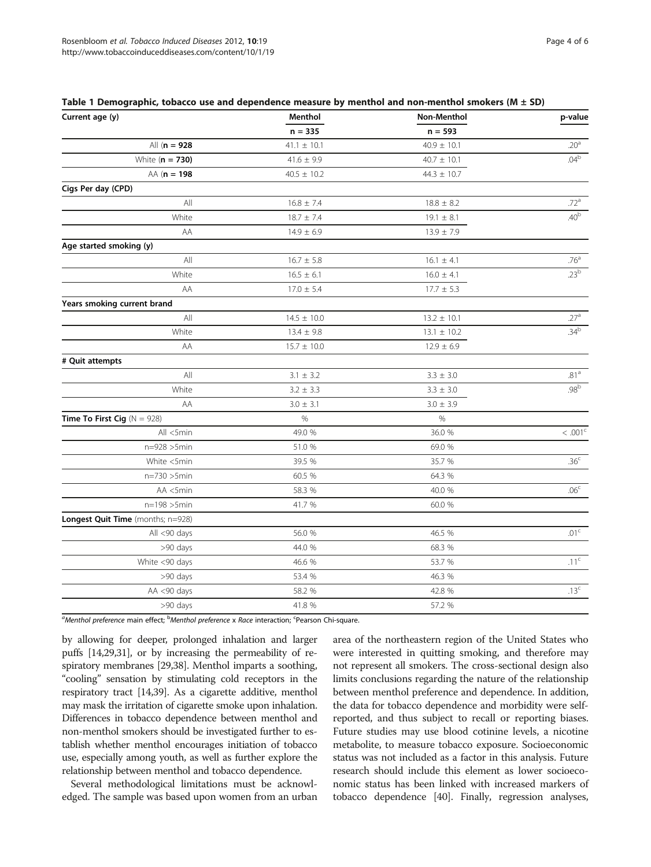<span id="page-3-0"></span>

|  |  |  |  |  |  |  | Table 1 Demographic, tobacco use and dependence measure by menthol and non-menthol smokers (M $\pm$ SD) |
|--|--|--|--|--|--|--|---------------------------------------------------------------------------------------------------------|
|--|--|--|--|--|--|--|---------------------------------------------------------------------------------------------------------|

| $\tilde{\phantom{a}}$<br>Current age (y) | Menthol         | Non-Menthol     | p-value          |
|------------------------------------------|-----------------|-----------------|------------------|
|                                          | $n = 335$       | $n = 593$       |                  |
| All $(n = 928)$                          | $41.1 \pm 10.1$ | $40.9 \pm 10.1$ | .20 <sup>a</sup> |
| White $(n = 730)$                        | $41.6 \pm 9.9$  | $40.7 \pm 10.1$ | .04 <sup>b</sup> |
| $AA (n = 198$                            | $40.5 \pm 10.2$ | $44.3 \pm 10.7$ |                  |
| Cigs Per day (CPD)                       |                 |                 |                  |
| All                                      | $16.8 \pm 7.4$  | $18.8 \pm 8.2$  | .72 <sup>a</sup> |
| White                                    | $18.7 \pm 7.4$  | $19.1 \pm 8.1$  | .40 <sup>b</sup> |
| AA                                       | $14.9 \pm 6.9$  | $13.9 \pm 7.9$  |                  |
| Age started smoking (y)                  |                 |                 |                  |
| All                                      | $16.7 \pm 5.8$  | $16.1 \pm 4.1$  | .76 <sup>a</sup> |
| White                                    | $16.5 \pm 6.1$  | $16.0 \pm 4.1$  | .23 <sup>b</sup> |
| AA                                       | $17.0 \pm 5.4$  | $17.7 \pm 5.3$  |                  |
| Years smoking current brand              |                 |                 |                  |
| All                                      | $14.5 \pm 10.0$ | $13.2 \pm 10.1$ | .27 <sup>a</sup> |
| White                                    | $13.4 \pm 9.8$  | $13.1 \pm 10.2$ | .34 <sup>b</sup> |
| AA                                       | $15.7 \pm 10.0$ | $12.9 \pm 6.9$  |                  |
| # Quit attempts                          |                 |                 |                  |
| All                                      | $3.1 \pm 3.2$   | $3.3 \pm 3.0$   | .81 <sup>a</sup> |
| White                                    | $3.2 \pm 3.3$   | $3.3 \pm 3.0$   | .98 <sup>b</sup> |
| AA                                       | $3.0 \pm 3.1$   | $3.0 \pm 3.9$   |                  |
| Time To First Cig $(N = 928)$            | $\%$            | $\%$            |                  |
| All <5min                                | 49.0 %          | 36.0 %          | $< .001^{\circ}$ |
| n=928 >5min                              | 51.0 %          | 69.0 %          |                  |
| White <5min                              | 39.5 %          | 35.7 %          | .36 <sup>c</sup> |
| $n = 730 > 5min$                         | 60.5 %          | 64.3 %          |                  |
| AA <5min                                 | 58.3 %          | 40.0 %          | .06 <sup>c</sup> |
| $n = 198 > 5min$                         | 41.7 %          | 60.0 %          |                  |
| Longest Quit Time (months; n=928)        |                 |                 |                  |
| All <90 days                             | 56.0 %          | 46.5 %          | .01 <sup>c</sup> |
| >90 days                                 | 44.0 %          | 68.3 %          |                  |
| White <90 days                           | 46.6 %          | 53.7 %          | .11 <sup>c</sup> |
| >90 days                                 | 53.4 %          | 46.3 %          |                  |
| AA <90 days                              | 58.2 %          | 42.8 %          | .13 <sup>c</sup> |
| >90 days                                 | 41.8 %          | 57.2 %          |                  |

a<br>Menthol preference main effect; <sup>b</sup>Menthol preference x Race interaction; <sup>c</sup>Pearson Chi-square.

by allowing for deeper, prolonged inhalation and larger puffs [[14](#page-4-0)[,29,31](#page-5-0)], or by increasing the permeability of respiratory membranes [\[29,38\]](#page-5-0). Menthol imparts a soothing, "cooling" sensation by stimulating cold receptors in the respiratory tract [[14](#page-4-0)[,39\]](#page-5-0). As a cigarette additive, menthol may mask the irritation of cigarette smoke upon inhalation. Differences in tobacco dependence between menthol and non-menthol smokers should be investigated further to establish whether menthol encourages initiation of tobacco use, especially among youth, as well as further explore the relationship between menthol and tobacco dependence.

Several methodological limitations must be acknowledged. The sample was based upon women from an urban area of the northeastern region of the United States who were interested in quitting smoking, and therefore may not represent all smokers. The cross-sectional design also limits conclusions regarding the nature of the relationship between menthol preference and dependence. In addition, the data for tobacco dependence and morbidity were selfreported, and thus subject to recall or reporting biases. Future studies may use blood cotinine levels, a nicotine metabolite, to measure tobacco exposure. Socioeconomic status was not included as a factor in this analysis. Future research should include this element as lower socioeconomic status has been linked with increased markers of tobacco dependence [[40](#page-5-0)]. Finally, regression analyses,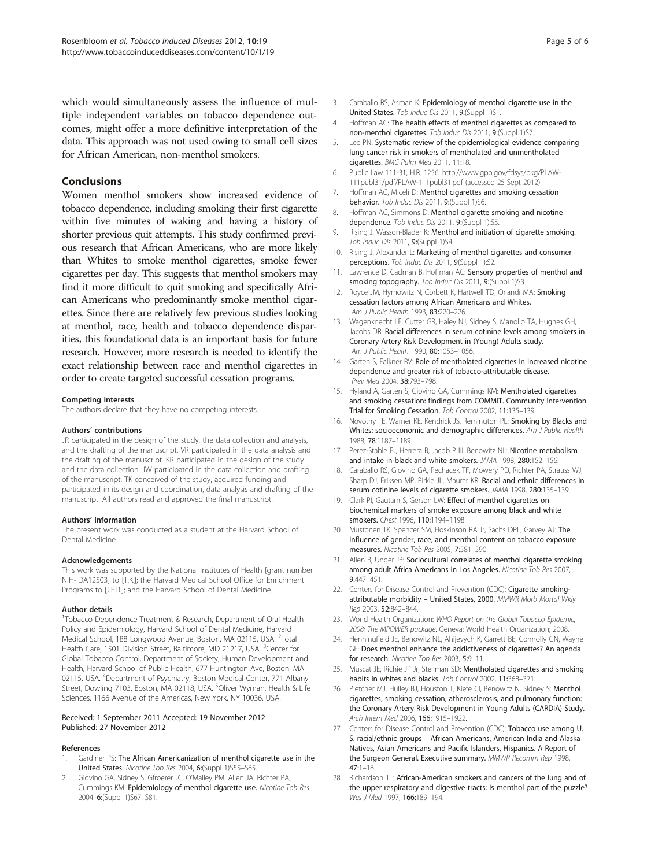<span id="page-4-0"></span>which would simultaneously assess the influence of multiple independent variables on tobacco dependence outcomes, might offer a more definitive interpretation of the data. This approach was not used owing to small cell sizes for African American, non-menthol smokers.

## Conclusions

Women menthol smokers show increased evidence of tobacco dependence, including smoking their first cigarette within five minutes of waking and having a history of shorter previous quit attempts. This study confirmed previous research that African Americans, who are more likely than Whites to smoke menthol cigarettes, smoke fewer cigarettes per day. This suggests that menthol smokers may find it more difficult to quit smoking and specifically African Americans who predominantly smoke menthol cigarettes. Since there are relatively few previous studies looking at menthol, race, health and tobacco dependence disparities, this foundational data is an important basis for future research. However, more research is needed to identify the exact relationship between race and menthol cigarettes in order to create targeted successful cessation programs.

#### Competing interests

The authors declare that they have no competing interests.

#### Authors' contributions

JR participated in the design of the study, the data collection and analysis, and the drafting of the manuscript. VR participated in the data analysis and the drafting of the manuscript. KR participated in the design of the study and the data collection. JW participated in the data collection and drafting of the manuscript. TK conceived of the study, acquired funding and participated in its design and coordination, data analysis and drafting of the manuscript. All authors read and approved the final manuscript.

#### Authors' information

The present work was conducted as a student at the Harvard School of Dental Medicine.

#### Acknowledgements

This work was supported by the National Institutes of Health [grant number NIH-IDA12503] to [T.K.]; the Harvard Medical School Office for Enrichment Programs to [J.E.R.]; and the Harvard School of Dental Medicine.

#### Author details

<sup>1</sup>Tobacco Dependence Treatment & Research, Department of Oral Health Policy and Epidemiology, Harvard School of Dental Medicine, Harvard Medical School, 188 Longwood Avenue, Boston, MA 02115, USA. <sup>2</sup>Total Health Care, 1501 Division Street, Baltimore, MD 21217, USA. <sup>3</sup>Center for Global Tobacco Control, Department of Society, Human Development and Health, Harvard School of Public Health, 677 Huntington Ave, Boston, MA 02115, USA. <sup>4</sup>Department of Psychiatry, Boston Medical Center, 771 Albany Street, Dowling 7103, Boston, MA 02118, USA. <sup>5</sup>Oliver Wyman, Health & Life Sciences, 1166 Avenue of the Americas, New York, NY 10036, USA.

#### Received: 1 September 2011 Accepted: 19 November 2012 Published: 27 November 2012

## References

- Gardiner PS: The African Americanization of menthol cigarette use in the United States. Nicotine Tob Res 2004, 6:(Suppl 1)S55–S65.
- 2. Giovino GA, Sidney S, Gfroerer JC, O'Malley PM, Allen JA, Richter PA, Cummings KM: Epidemiology of menthol cigarette use. Nicotine Tob Res 2004, 6:(Suppl 1)S67–S81.
- 3. Caraballo RS, Asman K: Epidemiology of menthol cigarette use in the United States. Tob Induc Dis 2011, 9:(Suppl 1)S1.
- 4. Hoffman AC: The health effects of menthol cigarettes as compared to non-menthol cigarettes. Tob Induc Dis 2011, 9: (Suppl 1) S7.
- 5. Lee PN: Systematic review of the epidemiological evidence comparing lung cancer risk in smokers of mentholated and unmentholated cigarettes. BMC Pulm Med 2011, 11:18.
- 6. Public Law 111-31, H.R. 1256: [http://www.gpo.gov/fdsys/pkg/PLAW-](http://www.gpo.gov/fdsys/pkg/PLAW-111publ31/pdf/PLAW-111publ31.pdf)[111publ31/pdf/PLAW-111publ31.pdf](http://www.gpo.gov/fdsys/pkg/PLAW-111publ31/pdf/PLAW-111publ31.pdf) (accessed 25 Sept 2012).
- 7. Hoffman AC, Miceli D: Menthol cigarettes and smoking cessation behavior. Tob Induc Dis 2011, 9:(Suppl 1)S6.
- 8. Hoffman AC, Simmons D: Menthol cigarette smoking and nicotine dependence. Tob Induc Dis 2011, 9:(Suppl 1):S5.
- 9. Rising J, Wasson-Blader K: Menthol and initiation of cigarette smoking. Tob Induc Dis 2011, 9: (Suppl 1) S4.
- 10. Rising J, Alexander L: Marketing of menthol cigarettes and consumer perceptions. Tob Induc Dis 2011, 9(Suppl 1):S2.
- 11. Lawrence D, Cadman B, Hoffman AC: Sensory properties of menthol and smoking topography. Tob Induc Dis 2011, 9:(Suppl 1)S3.
- 12. Royce JM, Hymowitz N, Corbett K, Hartwell TD, Orlandi MA: Smoking cessation factors among African Americans and Whites. Am J Public Health 1993, 83:220–226.
- 13. Wagenknecht LE, Cutter GR, Haley NJ, Sidney S, Manolio TA, Hughes GH, Jacobs DR: Racial differences in serum cotinine levels among smokers in Coronary Artery Risk Development in (Young) Adults study. Am J Public Health 1990, 80:1053–1056.
- 14. Garten S, Falkner RV: Role of mentholated cigarettes in increased nicotine dependence and greater risk of tobacco-attributable disease. Prev Med 2004, 38:793–798.
- 15. Hyland A, Garten S, Giovino GA, Cummings KM: Mentholated cigarettes and smoking cessation: findings from COMMIT. Community Intervention Trial for Smoking Cessation. Tob Control 2002, 11:135–139.
- 16. Novotny TE, Warner KE, Kendrick JS, Remington PL: Smoking by Blacks and Whites: socioeconomic and demographic differences. Am J Public Health 1988, 78:1187–1189.
- 17. Perez-Stable EJ, Herrera B, Jacob P III, Benowitz NL: Nicotine metabolism and intake in black and white smokers. JAMA 1998. 280:152-156.
- 18. Caraballo RS, Giovino GA, Pechacek TF, Mowery PD, Richter PA, Strauss WJ, Sharp DJ, Eriksen MP, Pirkle JL, Maurer KR: Racial and ethnic differences in serum cotinine levels of cigarette smokers. JAMA 1998, 280:135–139.
- 19. Clark PI, Gautam S, Gerson LW: Effect of menthol cigarettes on biochemical markers of smoke exposure among black and white smokers. Chest 1996, 110:1194–1198.
- 20. Mustonen TK, Spencer SM, Hoskinson RA Jr, Sachs DPL, Garvey AJ: The influence of gender, race, and menthol content on tobacco exposure measures. Nicotine Tob Res 2005, 7:581–590.
- 21. Allen B, Unger JB: Sociocultural correlates of menthol cigarette smoking among adult Africa Americans in Los Angeles. Nicotine Tob Res 2007, 9:447–451.
- 22. Centers for Disease Control and Prevention (CDC): Cigarette smokingattributable morbidity - United States, 2000. MMWR Morb Mortal Wkly Rep 2003, 52:842–844.
- 23. World Health Organization: WHO Report on the Global Tobacco Epidemic, 2008: The MPOWER package. Geneva: World Health Organization; 2008.
- 24. Henningfield JE, Benowitz NL, Ahijevych K, Garrett BE, Connolly GN, Wayne GF: Does menthol enhance the addictiveness of cigarettes? An agenda for research. Nicotine Tob Res 2003, 5:9–11.
- 25. Muscat JE, Richie JP Jr, Stellman SD: Mentholated cigarettes and smoking habits in whites and blacks. Tob Control 2002, 11:368–371.
- 26. Pletcher MJ, Hulley BJ, Houston T, Kiefe CI, Benowitz N, Sidney S: Menthol cigarettes, smoking cessation, atherosclerosis, and pulmonary function: the Coronary Artery Risk Development in Young Adults (CARDIA) Study. Arch Intern Med 2006, 166:1915–1922.
- 27. Centers for Disease Control and Prevention (CDC): Tobacco use among U. S. racial/ethnic groups – African Americans, American India and Alaska Natives, Asian Americans and Pacific Islanders, Hispanics. A Report of the Surgeon General. Executive summary. MMWR Recomm Rep 1998, 47:1–16.
- 28. Richardson TL: African-American smokers and cancers of the lung and of the upper respiratory and digestive tracts: Is menthol part of the puzzle? Wes J Med 1997, 166:189-194.